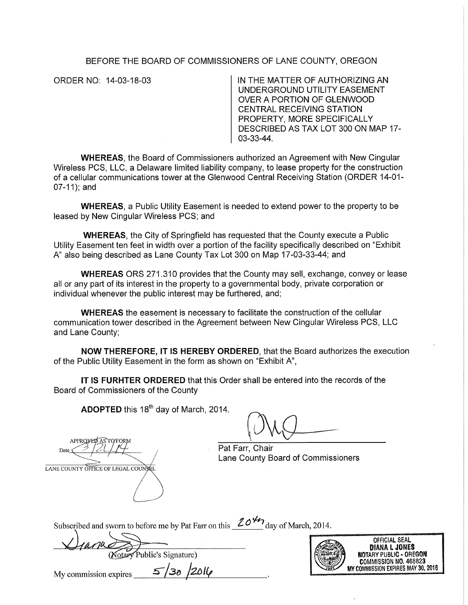## BEFORE THE BOARD OF COMMISSIONERS OF LANE COUNTY, OREGON

ORDER NO: 14-03-18-03 IN THE MATTER OF AUTHORIZING AN UNDERGROUND UTILITY EASEMENT OVER A PORTION OF GLENWOOD CENTRAL RECEIVING STATION PROPERTY, MORE SPECIFICALLY DESCRIBED AS TAX LOT 300 ON MAP 17- 03-33-44.

**WHEREAS,** the Board of Commissioners authorized an Agreement with New Cingular Wireless PCS, LLC, a Delaware limited liability company, to lease property for the construction of a cellular communications tower at the Glenwood Central Receiving Station (ORDER 14-01- 07-11); and

**WHEREAS,** a Public Utility Easement is needed to extend power to the property to be leased by New Cingular Wireless PCS; and

**WHEREAS,** the City of Springfield has requested that the County execute a Public Utility Easement ten feet in width over a portion of the facility specifically described on "Exhibit A" also being described as Lane County Tax Lot 300 on Map 17-03-33-44; and

**WHEREAS** ORS 271.310 provides that the County may sell, exchange, convey or lease all or any part of its interest in the property to a governmental body, private corporation or individual whenever the public interest may be furthered, and;

**WHEREAS** the easement is necessary to facilitate the construction of the cellular communication tower described in the Agreement between New Cingular Wireless PCS, LLC and Lane County;

**NOW THEREFORE,** IT IS **HEREBY ORDERED,** that the Board authorizes the execution of the Public Utility Easement in the form as shown on "Exhibit A",

**IT IS FURHTER ORDERED** that this Order shall be entered into the records of the Board of Commissioners of the County

**ADOPTED** this 18<sup>th</sup> day of March, 2014.

Pat Farr, Chair Lane County Board of Commissioners

Subscribed and sworn to before me by Pat Farr on this  $20^{4}$  day of March, 2014.

Public's Signature)



OFFICIAL SEAL DIANA L JONES NOTARY PUBLIC • OREGON COMMISSION NO. 468823 MY COMMISSION EXPIRES MAY 30, 2016

My commission expires  $\frac{5}{36}$  /2014

APPROVED AS TO/FORM

LANE COUNTY OFFICE OF LEGAL COUNS